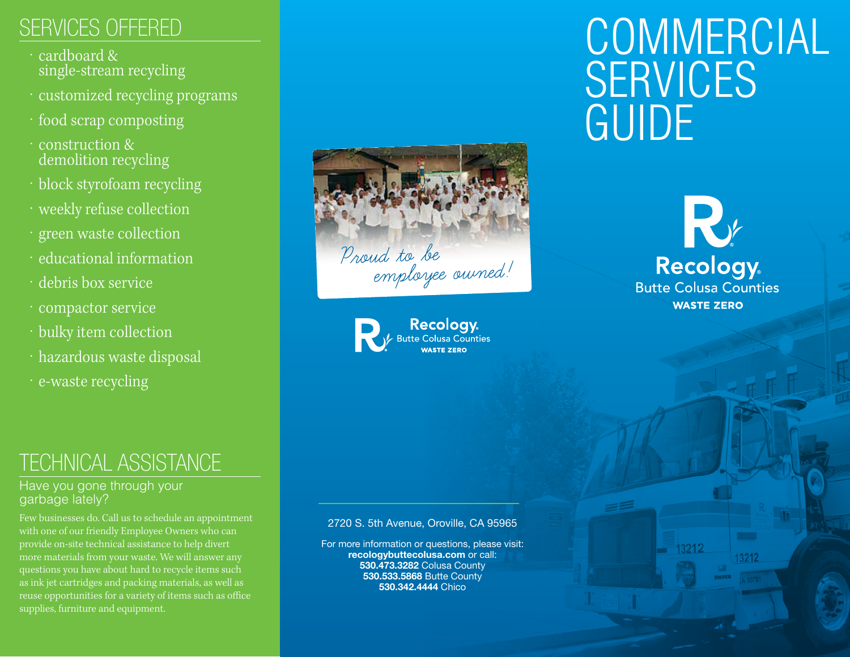### SERVICES OFFERED

- cardboard & single-stream recycling
- · customized recycling programs
- · food scrap composting
- · construction & demolition recycling
- · block styrofoam recycling
- · weekly refuse collection
- · green waste collection
- · educational information
- · debris box service
- · compactor service
- · bulky item collection
- · hazardous waste disposal
- · e-waste recycling

### TECHNICAL ASSISTANCE

#### Have you gone through your garbage lately?

Few businesses do. Call us to schedule an appointment with one of our friendly Employee Owners who can provide on-site technical assistance to help divert more materials from your waste. We will answer any questions you have about hard to recycle items such as ink jet cartridges and packing materials, as well as reuse opportunities for a variety of items such as office supplies, furniture and equipment.





# **COMMERCIAL SERVICES** GUIDE



13212

13212

#### 2720 S. 5th Avenue, Oroville, CA 95965

For more information or questions, please visit: recologybuttecolusa.com or call: 530.473.3282 Colusa County 530.533.5868 Butte County 530.342.4444 Chico